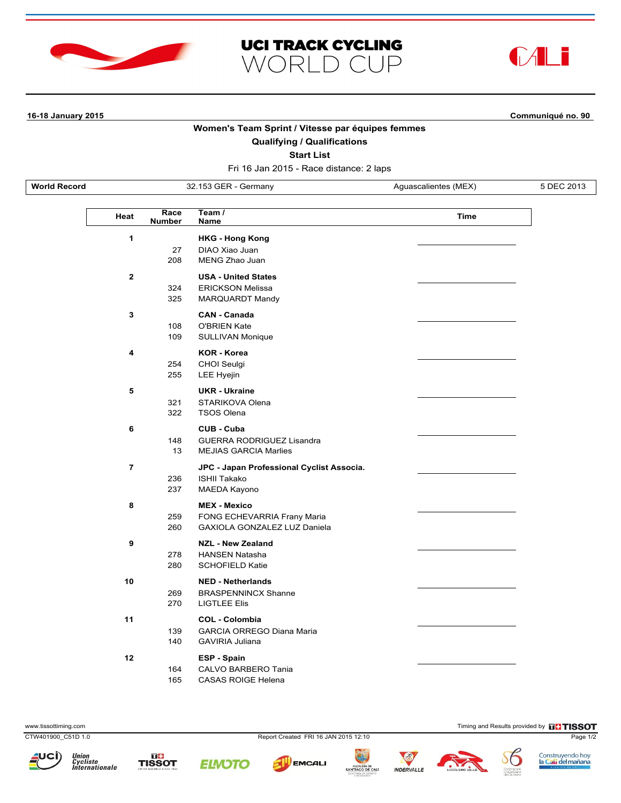





 $\mathbf{I}$ 

**16-18 January 2015 Communiqué no. 90**

## **Women's Team Sprint / Vitesse par équipes femmes**

**Qualifying / Qualifications**

**Start List**

Fri 16 Jan 2015 - Race distance: 2 laps

**World Record** 32.153 GER - Germany Aguascalientes (MEX) 5 DEC 2013

| Heat         | Race<br><b>Number</b> | Team /<br>Name                                                                          | <b>Time</b> |
|--------------|-----------------------|-----------------------------------------------------------------------------------------|-------------|
| 1            | 27<br>208             | <b>HKG - Hong Kong</b><br>DIAO Xiao Juan<br>MENG Zhao Juan                              |             |
| $\mathbf{2}$ | 324<br>325            | <b>USA - United States</b><br><b>ERICKSON Melissa</b><br>MARQUARDT Mandy                |             |
| 3            | 108<br>109            | <b>CAN - Canada</b><br><b>O'BRIEN Kate</b><br><b>SULLIVAN Monique</b>                   |             |
| 4            | 254<br>255            | <b>KOR - Korea</b><br><b>CHOI Seulgi</b><br>LEE Hyejin                                  |             |
| 5            | 321<br>322            | <b>UKR - Ukraine</b><br>STARIKOVA Olena<br><b>TSOS Olena</b>                            |             |
| 6            | 148<br>13             | <b>CUB - Cuba</b><br><b>GUERRA RODRIGUEZ Lisandra</b><br><b>MEJIAS GARCIA Marlies</b>   |             |
| 7            | 236<br>237            | JPC - Japan Professional Cyclist Associa.<br><b>ISHII Takako</b><br><b>MAEDA Kayono</b> |             |
| 8            | 259<br>260            | <b>MEX - Mexico</b><br>FONG ECHEVARRIA Frany Maria<br>GAXIOLA GONZALEZ LUZ Daniela      |             |
| 9            | 278<br>280            | <b>NZL - New Zealand</b><br><b>HANSEN Natasha</b><br><b>SCHOFIELD Katie</b>             |             |
| 10           | 269<br>270            | <b>NED - Netherlands</b><br><b>BRASPENNINCX Shanne</b><br><b>LIGTLEE Elis</b>           |             |
| 11           | 139<br>140            | <b>COL - Colombia</b><br><b>GARCIA ORREGO Diana Maria</b><br><b>GAVIRIA Juliana</b>     |             |
| 12           | 164<br>165            | ESP - Spain<br>CALVO BARBERO Tania<br><b>CASAS ROIGE Helena</b>                         |             |

www.tissottiming.com **Timing and Results provided by FITISSOT** 

CTW401900\_C51D 1.0 Report Created FRI 16 JAN 2015 12:10 Page 1/2